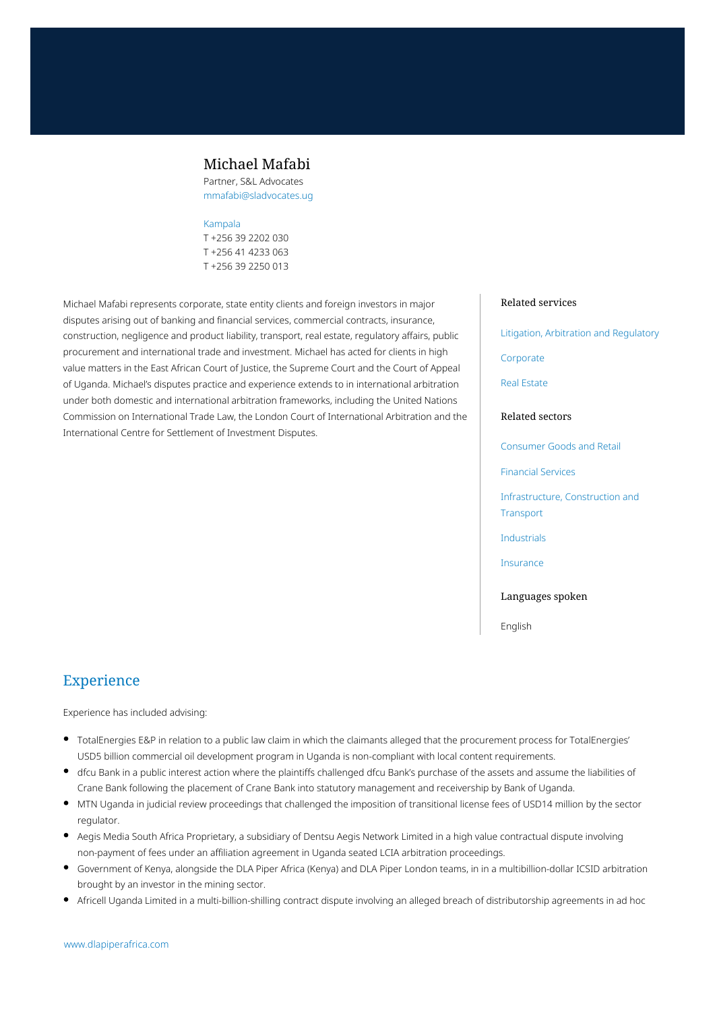## Michael Mafabi

Partner, S&L Advocates mmafabi@sladvocates.ug

#### [Kampala](https://www.dlapiperafrica.com/uganda/locations/kampala.html)

T +256 39 2202 030 T +256 41 4233 063 T +256 39 2250 013

Michael Mafabi represents corporate, state entity clients and foreign investors in major disputes arising out of banking and financial services, commercial contracts, insurance, construction, negligence and product liability, transport, real estate, regulatory affairs, public procurement and international trade and investment. Michael has acted for clients in high value matters in the East African Court of Justice, the Supreme Court and the Court of Appeal of Uganda. Michael's disputes practice and experience extends to in international arbitration under both domestic and international arbitration frameworks, including the United Nations Commission on International Trade Law, the London Court of International Arbitration and the International Centre for Settlement of Investment Disputes.

#### Related services

[Litigation, Arbitration and Regulatory](https://www.dlapiperafrica.com/en/uganda/services/litigation-and-regulatory.html)

[Corporate](https://www.dlapiperafrica.com/en/uganda/services/corporate.html)

[Real Estate](https://www.dlapiperafrica.com/en/uganda/services/real-estate.html)

#### Related sectors

[Consumer Goods and Retail](https://www.dlapiperafrica.com/en/uganda/sectors/consumer-goods-and-retail.html)

[Financial Services](https://www.dlapiperafrica.com/en/uganda/sectors/financial-services.html)

[Infrastructure, Construction and](https://www.dlapiperafrica.com/en/uganda/sectors/infrastructure-construction-transport.html) **[Transport](https://www.dlapiperafrica.com/en/uganda/sectors/infrastructure-construction-transport.html)** 

[Industrials](https://www.dlapiperafrica.com/en/uganda/sectors/industrials.html)

[Insurance](https://www.dlapiperafrica.com/en/uganda/sectors/insurance.html)

Languages spoken

English

# Experience

Experience has included advising:

- TotalEnergies E&P in relation to a public law claim in which the claimants alleged that the procurement process for TotalEnergies' USD5 billion commercial oil development program in Uganda is non-compliant with local content requirements.
- dfcu Bank in a public interest action where the plaintiffs challenged dfcu Bank's purchase of the assets and assume the liabilities of Crane Bank following the placement of Crane Bank into statutory management and receivership by Bank of Uganda.
- MTN Uganda in judicial review proceedings that challenged the imposition of transitional license fees of USD14 million by the sector regulator.
- Aegis Media South Africa Proprietary, a subsidiary of Dentsu Aegis Network Limited in a high value contractual dispute involving non-payment of fees under an affiliation agreement in Uganda seated LCIA arbitration proceedings.
- Government of Kenya, alongside the DLA Piper Africa (Kenya) and DLA Piper London teams, in in a multibillion-dollar ICSID arbitration brought by an investor in the mining sector.
- Africell Uganda Limited in a multi-billion-shilling contract dispute involving an alleged breach of distributorship agreements in ad hoc